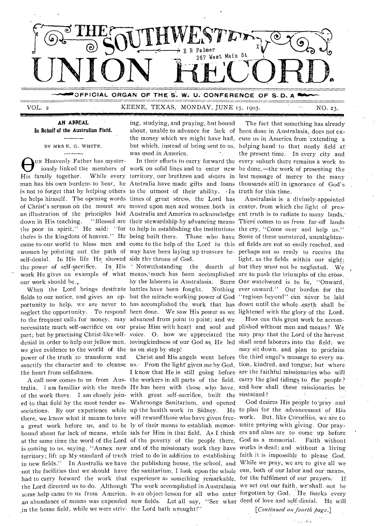

VOL. 2 KEENE, TEXAS, MONDAY, JUNE 15, 1903. NO. 23.

AN **APPEAL In Behalf of the Australian Field.** 

BY MRS E. G. WHITE.

UR Heavenly Father has mysteris not to forget that by helping others to the utmost of their ability.  $\cdot$  In truth for this time. he helps himself. The opening words times of great stress, the Lord has self-denial. In. His. life He showed side the throne of God. our work should be..

to the frequent calls for money, may advanced from point to point; and we we give evidence to the world of the us on step by step! power of the truth to transform and the heart from selfishness.

of the work there. I am closely join- with great self-sacrifice, built the sustained? ed to that field by the most tender as-Wahroonga Sanitarium, and opened a great work before us, and to be ly of their means to establiah memor-unite praying with giving. Our prayin the home field, while we were striv-the Lord bath wrought!"

ing, studying, and praying, but bound was used.in America.

When the Lord brings destitute battles have been fought. Nothing neglect the opportunity. To respond been done. We saw His power as we lightened with the glory of the Lord. part; but by practising Christ-like self- voice. O, how we appreciated the may pray that the Lord of the harvest

OUR Heavenly Father has myster-<br>
iously linked the members of work on solid lines and to enter new be done,—the work of presenting the<br>
His family together. While every territory, our brethren and sisters in last message o iously linked the members of work on solid lines and to enter new be done,—the work of presenting the man has his own burdens.to bear, he Australia have made gifts and loans thousands still in ignorance of God's about, unable to advance for lack of been done in Australasia, does not exthe money which we might have had, cuse us in America from 'extending a but which, instead of being sent to us, helping hand to that needy field at In their efforts to carry forward the every suburb there remains a work to The fact that something has already the present time. In every city and

of Christ's sermon on the mount are moved upon men and women both in center, from which the light of presan illustration of the principles laid Australia and America to acknowledge ent truth is to radiate to many lands. down in His teaching. ("Blessed are their stewardship by advancing means There comes to us from far-off lands the poor in spirit," He said: "for to help in establishing the institutions the cry, "Come over and help us." theirs is the kingdom of heaven." He being built there. Those who have Some of these unentered, unenlightencame to our world to bless men and come to the help of the Lord in this ed fields are not so easily reached, and women by pointing out the path of way have been laying up treasure be-perhaps not so ready to receive the the power of self-sacrifice. In His • Notwithstanding the dearth of but they must not be neglected. We work He gives an example of what means, much has been accomplished are to push the triumphs of the cross. fields to our notice, and gives an op- but the miracle-working power of God "regions beyond" can never be laid portunity to help, we are never to has accomplished the work that has down until the whole earth shall be by the laborers in Australasia. Stern Our watchword is to be,' "Onward, Australasia is a divinely-appointed light, as the fields within our sight; Nothing ever onward." Our burden for the

necessitate much self-sacrifice on our praise Him with heart and soul and plished without men and means ? We denial in order to help our fellow men, lovingkindness of our God as, He led shall send laborers into the field; we sanctify the character and to cleanse us. From the light given me by God, tion, kindred, and tongue; but where. A call now comes to us from Aus, the workers in all parts of the field. carry the glad tidings to the people? tralia. 1 am familiar with the needs He has been with those , who have, and how shall these missionaries be. Christ and His angels went before the third angel's message to every na-I know that He is still going before are the faithful missionaries who will How can this great work be accommay sit down, and. plan to proclaim

sociations. By our experience while up the health work in Sidney. He to plan for the advancement of His there, we know what it means to have will reward those who have given free- work. But, like Cornelius, we are to bound about for lack of means, while ials for Him in that field. As I think ers and alms are to come up before at the same time the word of the Lord of the poverty of the people there, God as a memorial. Faith without is coming to us, saying, "Annex new and of the missionary work they have works is dead; and without a living territory; lift up My standard of truth tried to do in addition to establishing faith it is impossible to please God. in new fields." In Australia we have the publishing house, the school, and While we pray, we are to give all we not the facilities that we should have the sanitarium, I look upon the whole can, both of our labor and our means, had to carry forward the work that experience as something remarkable, for the fulfilment of our prayers. If the Lord directed us to do. Although The work accomplished in Australasia we act out our faith, we shall, not be some help came to us from America, is an object-lesson for all who enter forgotten by God. He fnarks every an abundance of means was expended new fields. Let all say, "See what deed of love and self-denial. He will God desires His people to'pray and

*[Continued oa fourth page.]*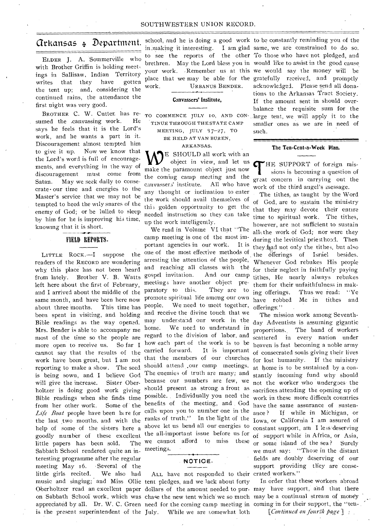# Arkansas 4, Department.

ELDER J. A. Sommerville who with Brother Griffin is holding meetings in Sallisaw, Indian Territory writes that they have gotten the tent up; and, considering the continued rains, the attendance the first night was very good.

BROTHER C. W. Cutter. has resumed the .canvassing work. He says he feels that it is the Lord's work, and he wants a part in it. Discouragement almost tempted him to give it up. Now we know that the Lord's word is full of encouragements, and everything in the way of discouragement must come from Satan. May we seek daily to consecrate• our time and energies to the Master's service that we may not be tempted to heed the wily snares of the enemy of God; or be lulled to sleep by him for he is improving his time, knowing that it is short.

# **FIELD REPORTS.**

LITTLE ROCK.-I suppose the readers of the RECORD are wondering why, this place has not been heard left here about the first of February, about three months. This time has Mrs. Bender is able to accompany me home. more open to receive us. will give the increase. Sister Oberfrom her other work. Some of the little papers has been sold. Sabbath School rendered quite an interesting programme after the regular meeting May 16. •Several of the little girls recited. We also had music and singing; and Miss 011ie tent pledges, and we lack about forty

school, and he is doing a good work to be constantly reminding you of the work. URBANUS BENDER.

#### **Canvassers' Institute,**

TO COMMENCE JULY to, AND CON-TINUE THROUGH THE STATE CAMP MEETING, JULY *17-27*, TO BE HELD AT VAN BUREN,

#### ARKANSAS.

E SHOULD all work with an object in view, and let us make the paramount object just now the coming camp meeting and the canvassers' institute. All who have any thought or inclination to enter the work should avail themselves of thi3 golden opportunity to get the needed instruction so they can take up the work intelligently.

from lately. Brother V. B. Watts gospel invitation. And our camp and I arrived about the middle of the paratory to this. They are to same month, and have been here now promote spiritual-life among our own been spent in visiting, and holding and receive the divine touch that we Bible readings as the way opened. may understand our work in the most of the time so the people are regard to the division of labor, and cannot say that the results of the carried forward. It is important work have been great, but I am not that the members of our churches reporting to make a show. The seed should attend our camp meetings. is being sown, and I believe God The enemies of truth are many; and holtzer is doing good work giving should present as strong a front as Bible readings when she finds time possible. Individually you need the Life Boat people have been like for calls upon you to number one in the the last two months, and with the ranks of truth." In the light of the help of some of the sisters here a above let us bend all our energies to goodly number of these excellent the all-important issue before us for We read in Volume VI that "The camp meeting is one of the most important agencies in our work. It is one of the most effective methods of arresting the attention of the people, and reaching all classes with the meetings have another object pre-This time has people. We need to meet together, We need to understand in So far I how each part of the work is to be Sister Ober- because our numbers are few, we Some of the benefits of the meeting, and God The we cannot afford to miss these meetings.



is the present superintendent of the July. While we are somewhat loth ALL have not responded to their crated workers."

**in** \_making it interesting. I am glad same, we are constrained to do so. **to see** the reports of the other To those who have not pledged, and **brethren.** May the Lord bless you in would like to assist in the good cause your work. -Remember us at this we would say the money will be place that we may be able for the gratefully received, and promptly acknowledged. Please send all donations to the Arkansas Tract Society. If the amount sent in should overbalance the requisite sum for the large tent, we will apply it to the smaller ones as we are in need of such.

#### **The Ten-Cent-a-Week Plan.**

**THE SUPPORT** of foreign missions is becoming a question of great concern in carrying out the HE SUPPORT of foreign missions is becoming a question of work of the third angel's message.

The tithes, as taught by the Word of God, are to sustain the ministry that they may devote their entire time to spiritual work. The tithes, however, are not sufficient to sustain allathe work of God; nor were they during the levitical priesthood. Then theyikad not only the tithes, but also the offerings of Israel besides. Whenever God rebukes His people for their neglect in faithfully paying tithes, He nearly always rebukes them for their unfaithfulness in making offerings. Thus we read: "Ye have robbed Me in tithes and offerings'."

The mission work among Seventhday Adventists is assuming gigantic proportions. The band of workers scattered in every nation under heaven is fast becoming a noble army of consecrated souls giving their lives for lost humanity. If the ministry at home is to be sustained by a constantly incoming fund why should not the worker who undergoes-the sacrifices attending the opening up of work in these more difficult countries have the same assurance of sustenance ? If while in Michigan, or Iowa, or California I am assured of constant support, am I less'deserving of support while in Africa, or Asia, or some island of the sea? Surely we must say: "Those in the distant fields are doubly deserving of our support providing they are conse-

Oberholtzer read an excellent paper dollars of the amount needed to pur-may have support, and that there on Sabbath School work, which was chase the new tent which we so much may be a continual stream of money appreciated by all. Dr. W. C. Green need for the coming camp meeting in coming in for their support, the "ten-In order that these workers abroad

*[Continued on fourth fiagel*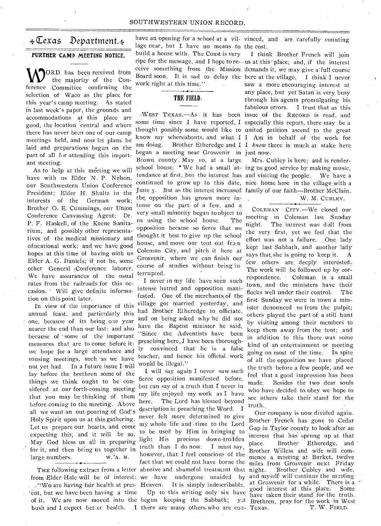## SOUTHWESTERN UNION RECORD..

**M<sub>C</sub>** France Committee confirming the work right at this time." saw a more encouraging interest at ference Committee confirming the sales is very busy selection of Waco as the place for<br> **THE FIELD.** THE INCORDITY SATA TERM SERVICE THEORY SERVICE THEORY SERVICE THEORY SERVICE THEORY SERVICE THEORY SERVICE THEORY SERVICE THEORY SERVICE THEORY SERVICE THEORY SERVICE THEORY this year's camp meeting. As stated<br>through his agents promulgating his through his agents promulgating his through his through his through his this through his through his through his through his through his through his t in last week's paper, the grounds and accommodations at this place are WEST TEXAS,—As it has been issue of the RECORD is read, and accommodations at this place are some time since I have reported, I especially this report, there may be a good, the location central and where good, the tocallon central and where thought possibly some would like to united petition ascend to the great meetings held, and now let plans be know my whereabouts, and what I I Am in behalf of the work for meetings held, and now let plans be am doing. Brother Etheredge and I I know there is much at stake here laid and preparations begun on the am doing. Brother Etheredge and I I *know* there is much at stake here part of all for attending this import-<br>part of all for attending this import-<br>Brown county May 10, at a large Mrs. Cu ant meeting. The meaning many inferred Brown county May to, at a large Mrs. Cubley is here; and is render-

have with us Elder N. P. Nelson, our Southwestern Union Conference continued to grow up to this date, nice home here in the village with a President; Elder H. Shultz in the June 5. But as the interest increased family of our faith—Brother McClain.  $\frac{1}{2}$  interests of the German work; the opposition has grown more in-<br>interests of the German work; tense on the part of a few, and a Brother O. E. Cummings, our Union Coleman Coleman and a Brother Coleman City.—We closed our Conference Canvassing Agent; Dr. very small minority began to object to meeting in Coleman last Sunday P. F. Haskell, of the Keene P. F. Haskell, of the Keene Sanita-<br>rium, and possibly other representa-<br>tives of the medical missionary and hought it best to give up the school effort was not a failure. One lady<br>tives of the medical missionary and hough tives of the medical missionary and move our tent out from effort was not a failure. One lady educational work; and we have good house, and move our tent out from kept last Sabbath, and another lady hopes at this time of h Elder A. G. Daniels; if not he, some crossvent, where we can finish our notine few others are deeply interested.<br>other General Conference laborer. course of studies without being in-<br> $\frac{1}{\pi}$  The work will be followed up We have assurances of the usual  $\frac{\text{terrupleed}}{\text{Here, they, the multiple function}}$  I never in my life have seen such

we hope for a large attendance and <sup>1y</sup> convinced that he is a faise going on most of the time. In spite<br>rousing meetings, such as we have teacher, and hence his official work of all the opposition we have placed<br>not yet h Holy Spirit upon us at this gathering. never felt more determined to give<br>Let us prepare our hearts, and come my whole life and time to the Lord<br>Expecting this, and it will be so. to be used by Him in bringing to<br>expecting expecting this, and it will be so. to be used by Hill in bringing to May God bless us all in preparing light. His precious down-trodden for it and then bring us together in truth than I do now. I must say,

from Elder. Hale will be of interest: we have undergone unaided by and myself will continue the meeting<br>We are having fair health at pres. Heaven. It is simply indescribed at Grosvenir for a while. There is a 'ent, but we have been having a time Up to this writing only six have good interest at this. place. Some of it. We are now moved into the begun keeping the Sabbath; yet Brethren, pray for the work in West

SOUTHWESTERN UNION RECORD.<br>  $\sqrt{\text{Cexas}}$  Department.  $\sim$  have an opening for a school at a vil- vinced, and are carefully counting<br>  $\frac{1}{2}$  have no means to the cost.<br>  $\frac{1}{2}$  build a house with. The Coast is very T t lage near, but I have no means to the cost. **FURTHER CAMP MEETING NOTICE.** build a house with. The Coast is very I think Brother French will join ripe for the message, and I hope to re- us at this place; and, if the interest ORD has been received from Geive something from the Mission demands it, we may give a full course the majority of the Con-Board soon. It is sad to delay the here at the village, I think I never<br>work right at this time." saw a more encouraging interest at

As to help at this meeting we will school house. • We had a small at- ing us good service by making music, tendance at first, but the interest has and visiting the people. We have a

preaching here, I have been thorough-

my whole life and time to the Lord May God bless us all in preparing tight Filst precious down-tro-deen<br>for it, and then bring us together in truth than I do now. I must say, Brother Willess and wife will com-<br>large numbers. W. A. M. however, that I feel co however, that I feel conscious of the mence a meeting at Burket, twelve<br>fact that we could not have borne the miles from Grosvenir next Friday THE following extract from a letter abusive and shameful treatment that night. Brother Cubley and wife,<br>om Elder Hale will be of interest; we have undergone unaided by and myself will continue the meeting ....  $\mathbb{R}^n$  are having fair health at pres- Heaven. It is simply indescribable, and interest at this place. Some bush and I expect better health. I there are many others who are con- Texas.  $T$ . W. FIELD.

We have assurances of the usual terrupted.<br>
Trates from the railroads for this oc-<br>
The respondence. Coleman is a small<br>
rates from the railroads for this oc-<br>
itense hatted and opposition mani-<br>
tion on this point later.

good interest at this place. Some<br>have taken their stand for the truth.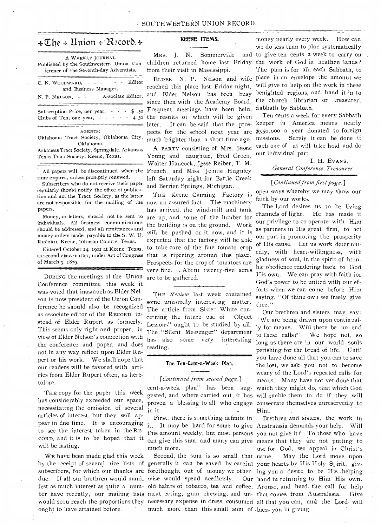# $*\mathfrak{C}$ he + Union + Record. $*$

A WEEKLY JOURNAL ference of the Seventh-day Adventists.

| C. N. WOODWARD, - - - - - - Editor<br>and Business Manager.                                   |  |  |  |  |  |  |  |  |  |
|-----------------------------------------------------------------------------------------------|--|--|--|--|--|--|--|--|--|
| N. P. NELSON, - - - - Associate Editor.                                                       |  |  |  |  |  |  |  |  |  |
| Subscription Price, per year, $  \frac{1}{2}$ .50<br>Clubs of Ten, one year, $- - - - - 4.50$ |  |  |  |  |  |  |  |  |  |
| AGENTS:<br>Oklahoma Tract Society, Oklahoma City,<br>Oklahoma.                                |  |  |  |  |  |  |  |  |  |

Arkansas Tract Society, Springdale, Arkansas Texas Tract Society, Keene, Texas.

All papers will be discontinued when the time expires, unless promptly renewed.

Subscribers who do not receive their paper regularly should notify the office of publication and not the Tract Society, as the latter are not responsible for the mailing of the now an assured fact. The machinery papers.

Money, or letters, should not he sent to individuals. All business communications should be addressed, and all remittances and money orders made payable to the S. W. U. RECORD, Keene, Johnson County, Texas.

Entered October 24, 1902 at Keene, Texas, as second-class matter, under Act of Congress of March 3, 1879.

DURING the meetings of the Union Conference committee this week it was voted that inasmuch as Elder Nelson is now president of the Union Conference he should also be recognized as associate editor of the RECORD instead of Elder Rupert as formerly. This seems only right and proper, in view of Elder Nelson's connection with the conference and paper, and does not in any way reflect upon Elder Rupert or his work. We shall hope that our readers will be favored with articles from Elder Rupert often, as heretofore.

THE copy for the paper this week has considerably exceeded our space, necessitating the omission of several articles of interest, but they will appear in due time. It is encouraging to see the interest taken in the RE-CORD, and it is to be hoped that it will be lasting.

WE have been made glad this week ought to have attained before.

# **KEENE ITEMS.**

Mrs. J. N. Sommerville from their visit in Mississippi.

reached this place last Friday night, and Elder Nelson has been busy since then with the Academy Board. Frequent meetings have been held, the results of which will be given later. It can be said that the prospects for the school next year are much brighter than a short time ago.

A PARTY consisting of Mrs. Jessie Young and daughter, Fred Green, Walter Hancock, Jesse Reiber, T. M. French, and Miss. Jennie Huguley left Saturday night for Battle Creek and Berrien Springs, Michigan.

THE Keene Canning Factory is has arrived, the wind-mill and tank are up, and -some of the lumber for the building is on the ground. Work will he pushed on it now, and it is expected that the factory will be able to take care of the fine tomato crop that is ripening around this place. Prospects for the crop of tomatoes are very fine. . Abcut twenty-five acres are to be gathered.

THE *Reoic'w* last week contained some unusually interesting matter. The article from Sister White concerning the future use of "Object Lessons" ought to be studied by all. The "Silent Messenger" department has also some very interesting reading.

#### *The* **Ten-Cent-a-Week Plan.**

### *[continued from second page.]*

in it.

First, there is something definite in much more.

due. If all our brethren would mani\_ wise would spend needlessly. Our Second, the sum is so small that name. much more than this small sum of bless you in giving.

Published by the Southwestern Union Con- children returned home last Friday the work of God in heathen lands? ELDER N. P. Nelson and wife place in an envelope the amount we money nearly every week. How can we do less than to plan systematically and to give ten cents a week to carry on The plan is for all, each Sabbath, to will give to help on the work in these benighted regions, and hand it in to the church librarian or treasurer, Sabbath by Sabbath.

> Ten cents a week for every Sabbath keeper in America means nearly \$350,000 a year donated to foreign missions. Surely it can be done if each one of us will take hold and do our individual part.

> > I. H. EVANS, *General Conference Treasurer.*

## *[Continued from first page.]*

open ways whereby we may show our faith by our works.

The Lord desires us **to** be living channels of light. He has made it our privilege to co operate with Him as partners in His great firm, to act our part in promoting the prosperity of His cause. Let us work determinedly, with heart-willingness, with gladness of soul, in the spirit of humble obedience rendering back to God His own. We can pray with faith for God's power to be united with our efforts when we can come before Him saying, "Of thine own we freely give thee."

cent-a-week plan" has been sug-which they might do, that which God gested, and where carried out, it has will enable them to do if they will proven a blessing to all who engage consecrate themselves unreservedly to Our brethren and sisters may say: "We are being drawn upon continually for means. Will there be no end to these calls?" We hope not, so long as there are in our world souls perishing for the bread of life. . Until you have done all that you can to save the lost, we ask you not to become weary of the Lord's repeated calls for means. Many have not yet done that Him.

by the receipt of several nice lists of generally it can be saved by careful your hearts by His Holy Spirit, givsubscribers, for which our thanks are forethought out of money we other-ing you a desire to be His \_helping fest as much interest as quite a num-old habits of tobacco, tea and coffee, Arouse, and heed. the call for help ber have recently, our mailing lists meat eating, gum chewing, and un-that comes from Australasia. Give would soon reach the proportions they necessary expense in dress, consumed all that you can, and the Lord. will it. It may be hard for some to give Australasia demands your help. Will this amount weekly, but most persons you not give it? To those who have can give this sum, and many can give means that they are not putting to Brethren and sisters, the work in use for God, we appeal in Christ's May the Lord move upon Our hand in returning to Him His own.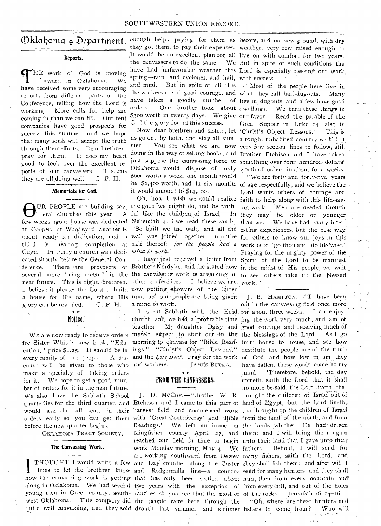## SOUTHWESTERN UNION RECORD.

**Reports.** 

THE work of God is moving<br>forward in Oklahoma. We<br>have received some very encouraging HE work of God is moving forward in Oklahoma. We reports from different parts of the Conference, telling how the Lord is working. More calls for help are coming in than we can fill. Our tent companies have good prospects for success this summer, and we hope that many souls will accept the truth through their efforts. Dear brethren, pray for thein: It does my heart good to look over the excellent reports of our canvassers. It seems they are all doing well. G. F. H.

# **Memorials for God. --- .**

OUR PEOPLE are building sev- the good we might do, and be faith-<br>eral churches this year. A ful like the children of Israel. In<br>few weeks ago a house was dedicated, Nehemiah 4: 6 we read these words: at Cooper, at Woodward another is "So built we the wall; and all the esting experiences, but the best way about ready for dedication, and a wall was joined together unto the for others to know our joys in this third is nearing completion at half thereof: *for the people had a* work is to 'go thou and do likewise.' Gage. In Perry a church was dedi- mind to work.' ference. There are prospects of Brother<sup>}</sup> Nordyke, and he stated how in the midst of His people, we wait several more being erected in the the canvassing work is advancing in to see others take up the blessed near future. This is right, brethren. other conferences. I believe we are work." I believe it pleases the Lord to build now getting showers of the latter 1 believe it pleases the Lord to build how getting showers of the fatter and  $\overline{J}$ . B. HAMPTON.-"I have been. cated shortly before the General Conglory can be revealed. G. F. H.

Notice:

for Sister White's new book, "Edu- morning to canvass for "Bible Read- from house to house, and see how cation," price \$1.25. It should be in ings," "Christ's Object Lessons," destitute the people are of the truth every family of our people. A dis- and the *Life Boat*. Pray for the work of God, and how low in sin they quarterlies for the third quarter, and Etchison and I came to this part of land of Egypt; but, the Lord liveth, count will be given to those who and workers. make a specialty of taking orders for it. We hope to get a good number of orders for it in the near future. We also have the Sabbath School before the new quarter begins.

OKLAHOMA TRACT SOCIETY.

### **The Canvassing Work.**

how the canvassing work is getting that has only been settled about hunt them from every mountain, and along in Oklakoma. We had several two years with the exception of from every hill, and out of the holes young men in Greer county, south- ranches so you see that the most of of the rocks.' Jeremiah 16: 14-16.

 $\mathbb{O}$ klahoma + Department. enough helps, paying for them as before, and on new ground, with dry spring—rain, and cyclones, and hail, with success. and mud. But in spite of all this . "Most of the people here live in \$300 worth in twenty days. We give our favor. God the glory for all this success.

> mer. You see what we are now very few section lines to follow, still doing in the way of selling books, and Brother Etchison and I have taken just suppose the canvassing force of something over four hundred dollars' Oklahoma would dispose of . only worth of orders in about four weeks. \$600 worth a week, one month would be \$2,400 worth, and in six months of age respectfully, and we believe the it would amount to \$14,400.

UR PEOPLE are building sev- the good we might do, and be faitheral churches this year. A ful like the children of Israel. In they may be older or younger

a mind to work.

church, and we had a profitable time ing the work very much, and am of 'together. ' My daughter; Daisy, and good courage, and receiving much of WE are now ready to receive orders myself expect to start out in the the blessings of the Lord. As I go JAMES BUTKA.

# FROM THE CANVASSERS.

J. D. McCoy.--"Brother W. B. brought the children of Israel out would ask that all send in their harvest field, and commenced work that brought up the children of Israel orders early so you can get them with 'Great Controversy' and 'Bible from the land of the north, and from Readings.' We left our homes in the lands whither He had driven Kingfisher county April 27, and them: and I will bring them again reached our field in time to begin unto their land that I gave unto their are working southward from Dewey many fishers, saith the  $\mathcal{L}$ ord, and THOUGHT I would write a few and Day counties along the Custer they shall fish them; and after will I lines to let the brethren know and Rodgermills line—a country send for many hunters, and they shall west Oklahoma. This company did the people were here through the work Monday morning, May 4. We

they got them, to pay their expenses. weather, very few raised enough to .It would be an excellent plan for all live on with comfort for two years. the canvassers to do the same. We But in spite of such conditions the have had unfavorable weather this Lord is especially blessing our work

the workers are of good courage, and what 'they call half-dugouts. • Many have taken a goodly number of live in dugouts, and a few have good. orders. One brother took about dwellings. We turn these things in Now, dear brethren and sisters, let 'Christ's Object Lessons.' This is us go out by faith, and stay all sum- a rough, unhabited country with but. Read the parable of the Great Supper in Luke 14, also in.

Oh, how I wish we could realize faith to help along with this life-sav-I have: just received a letter from Spirit of the Lord to be manifest "We are forty and forty-five years Lord wants others of courage and Men are needed though We have had many inter-Praying for the mighty power of the

I .spent Sabbath with the Enid for about three weeks. I am enjoyout in the canvassing field once more have fallen, these words come to my mind: 'Therefore, behold, the day cometh, saith the Lord, that it shall no more be said, the Lord liveth, that Behold, I will send for "Oh, where are these hunters and

qui.e well canvassing, and they sold drouth last summer and summer fishers to come from? Who will